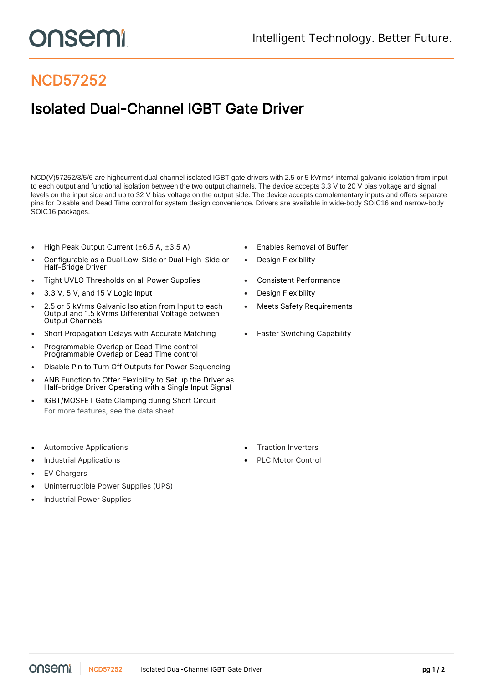## onsemi

## NCD57252

## Isolated Dual-Channel IGBT Gate Driver

NCD(V)57252/3/5/6 are highcurrent dual-channel isolated IGBT gate drivers with 2.5 or 5 kVrms\* internal galvanic isolation from input to each output and functional isolation between the two output channels. The device accepts 3.3 V to 20 V bias voltage and signal levels on the input side and up to 32 V bias voltage on the output side. The device accepts complementary inputs and offers separate pins for Disable and Dead Time control for system design convenience. Drivers are available in wide-body SOIC16 and narrow-body SOIC16 packages.

- High Peak Output Current (±6.5 A, ±3.5 A) Enables Removal of Buffer
- Configurable as a Dual Low-Side or Dual High-Side or Half-Bridge Driver
- Tight UVLO Thresholds on all Power Supplies **•** Consistent Performance
- 3.3 V, 5 V, and 15 V Logic Input Design Flexibility
- 2.5 or 5 kVrms Galvanic Isolation from Input to each Output and 1.5 kVrms Differential Voltage between Output Channels
- Short Propagation Delays with Accurate Matching Faster Switching Capability
- Programmable Overlap or Dead Time control Programmable Overlap or Dead Time control
- Disable Pin to Turn Off Outputs for Power Sequencing
- ANB Function to Offer Flexibility to Set up the Driver as Half-bridge Driver Operating with a Single Input Signal
- IGBT/MOSFET Gate Clamping during Short Circuit For more features, see the [data sheet](https://www.onsemi.jp/PowerSolutions/product.do?id=NCD57252)
- Automotive Applications Traction Inverters
- Industrial Applications PLC Motor Control
- **EV Chargers**
- Uninterruptible Power Supplies (UPS)
- Industrial Power Supplies
- 
- Design Flexibility
- 
- 
- Meets Safety Requirements
- 

- 
-